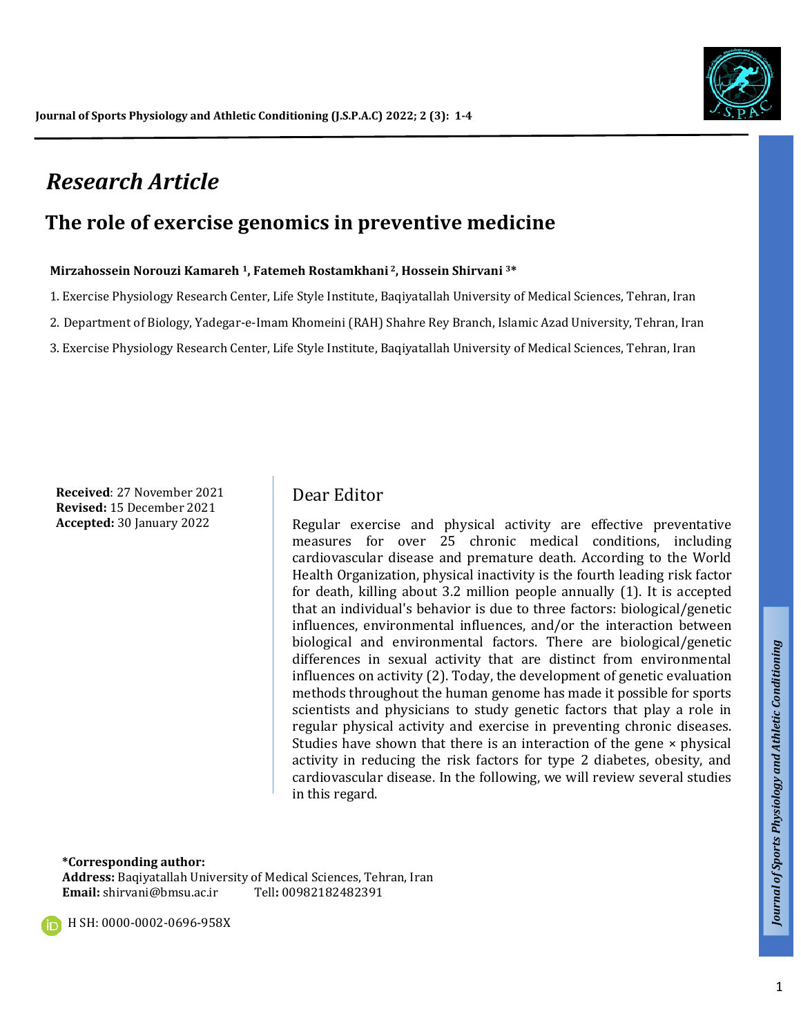

# *Research Article*

## **The role of exercise genomics in preventive medicine**

#### **Mirzahossein Norouzi Kamareh 1, Fatemeh Rostamkhani <sup>2</sup>, Hossein Shirvani 3\***

1. Exercise Physiology Research Center, Life Style Institute, Baqiyatallah University of Medical Sciences, Tehran, Iran

2. Department of Biology, Yadegar-e-Imam Khomeini (RAH) Shahre Rey Branch, Islamic Azad University, Tehran, Iran

3. Exercise Physiology Research Center, Life Style Institute, Baqiyatallah University of Medical Sciences, Tehran, Iran

**Received**: 27 November 2021 **Revised:** 15 December 2021 **Accepted:** 30 January 2022

### Dear Editor

Regular exercise and physical activity are effective preventative measures for over 25 chronic medical conditions, including cardiovascular disease and premature death. According to the World Health Organization, physical inactivity is the fourth leading risk factor for death, killing about 3.2 million people annually (1). It is accepted that an individual's behavior is due to three factors: biological/genetic influences, environmental influences, and/or the interaction between biological and environmental factors. There are biological/genetic differences in sexual activity that are distinct from environmental influences on activity (2). Today, the development of genetic evaluation methods throughout the human genome has made it possible for sports scientists and physicians to study genetic factors that play a role in regular physical activity and exercise in preventing chronic diseases. Studies have shown that there is an interaction of the gene × physical activity in reducing the risk factors for type 2 diabetes, obesity, and cardiovascular disease. In the following, we will review several studies in this regard.

**\*Corresponding author:** 

**Address:** Baqiyatallah University of Medical Sciences, Tehran, Iran **Email:** shirvani@bmsu.ac.ir Tell**:** 00982182482391

**H** SH: 0000-0002-0696-958X

*Talk*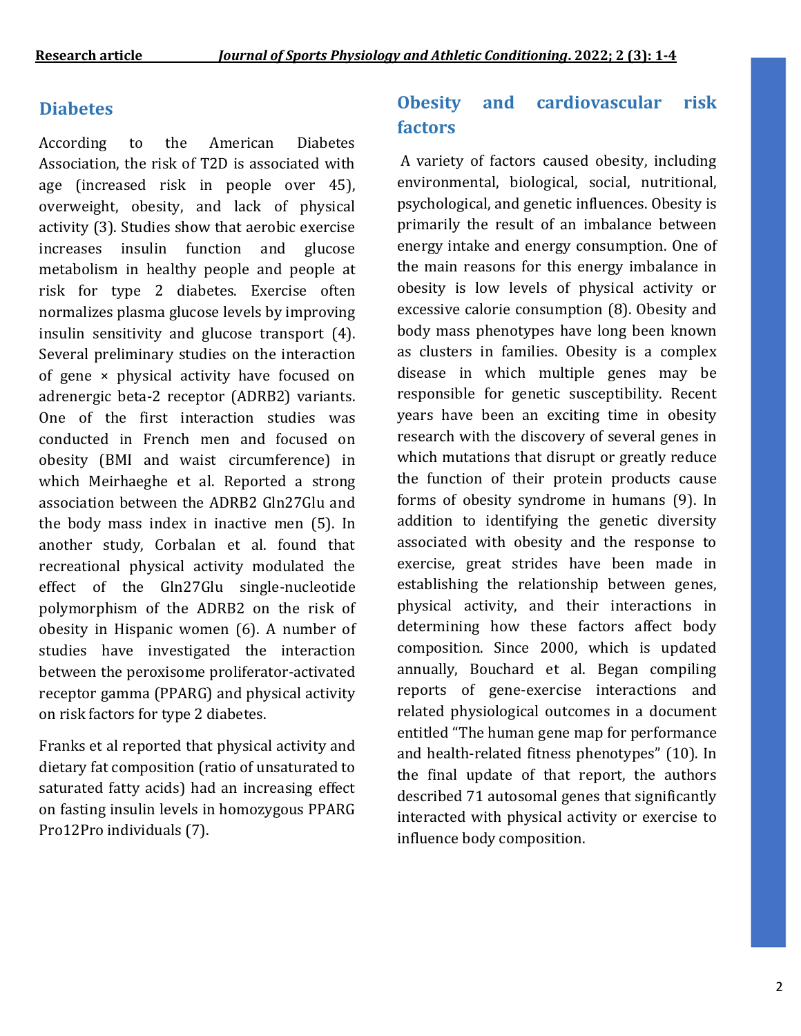### **Diabetes**

According to the American Diabetes Association, the risk of T2D is associated with age (increased risk in people over 45), overweight, obesity, and lack of physical activity (3). Studies show that aerobic exercise increases insulin function and glucose metabolism in healthy people and people at risk for type 2 diabetes. Exercise often normalizes plasma glucose levels by improving insulin sensitivity and glucose transport (4). Several preliminary studies on the interaction of gene × physical activity have focused on adrenergic beta-2 receptor (ADRB2) variants. One of the first interaction studies was conducted in French men and focused on obesity (BMI and waist circumference) in which Meirhaeghe et al. Reported a strong association between the ADRB2 Gln27Glu and the body mass index in inactive men (5). In another study, Corbalan et al. found that recreational physical activity modulated the effect of the Gln27Glu single-nucleotide polymorphism of the ADRB2 on the risk of obesity in Hispanic women (6). A number of studies have investigated the interaction between the peroxisome proliferator-activated receptor gamma (PPARG) and physical activity on risk factors for type 2 diabetes.

Franks et al reported that physical activity and dietary fat composition (ratio of unsaturated to saturated fatty acids) had an increasing effect on fasting insulin levels in homozygous PPARG Pro12Pro individuals (7).

### **Obesity and cardiovascular risk factors**

A variety of factors caused obesity, including environmental, biological, social, nutritional, psychological, and genetic influences. Obesity is primarily the result of an imbalance between energy intake and energy consumption. One of the main reasons for this energy imbalance in obesity is low levels of physical activity or excessive calorie consumption (8). Obesity and body mass phenotypes have long been known as clusters in families. Obesity is a complex disease in which multiple genes may be responsible for genetic susceptibility. Recent years have been an exciting time in obesity research with the discovery of several genes in which mutations that disrupt or greatly reduce the function of their protein products cause forms of obesity syndrome in humans (9). In addition to identifying the genetic diversity associated with obesity and the response to exercise, great strides have been made in establishing the relationship between genes, physical activity, and their interactions in determining how these factors affect body composition. Since 2000, which is updated annually, Bouchard et al. Began compiling reports of gene-exercise interactions and related physiological outcomes in a document entitled "The human gene map for performance and health-related fitness phenotypes" (10). In the final update of that report, the authors described 71 autosomal genes that significantly interacted with physical activity or exercise to influence body composition.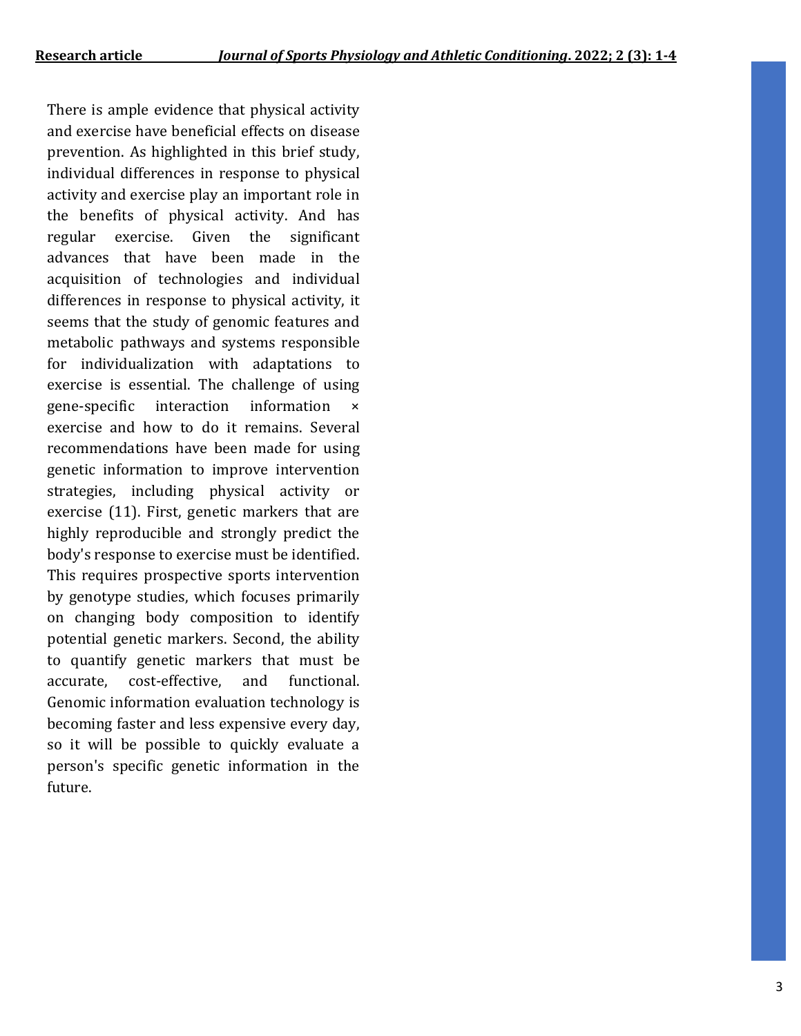There is ample evidence that physical activity and exercise have beneficial effects on disease prevention. As highlighted in this brief study, individual differences in response to physical activity and exercise play an important role in the benefits of physical activity. And has regular exercise. Given the significant advances that have been made in the acquisition of technologies and individual differences in response to physical activity, it seems that the study of genomic features and metabolic pathways and systems responsible for individualization with adaptations to exercise is essential. The challenge of using gene-specific interaction information exercise and how to do it remains. Several recommendations have been made for using genetic information to improve intervention strategies, including physical activity or exercise (11). First, genetic markers that are highly reproducible and strongly predict the body's response to exercise must be identified. This requires prospective sports intervention by genotype studies, which focuses primarily on changing body composition to identify potential genetic markers. Second, the ability to quantify genetic markers that must be accurate, cost-effective, and functional. Genomic information evaluation technology is becoming faster and less expensive every day, so it will be possible to quickly evaluate a person's specific genetic information in the future.